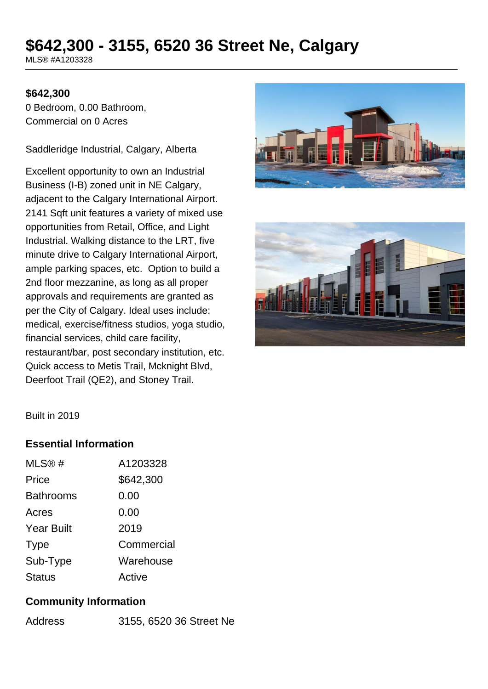# **\$642,300 - 3155, 6520 36 Street Ne, Calgary**

MLS® #A1203328

#### **\$642,300**

0 Bedroom, 0.00 Bathroom, Commercial on 0 Acres

Saddleridge Industrial, Calgary, Alberta

Excellent opportunity to own an Industrial Business (I-B) zoned unit in NE Calgary, adjacent to the Calgary International Airport. 2141 Sqft unit features a variety of mixed use opportunities from Retail, Office, and Light Industrial. Walking distance to the LRT, five minute drive to Calgary International Airport, ample parking spaces, etc. Option to build a 2nd floor mezzanine, as long as all proper approvals and requirements are granted as per the City of Calgary. Ideal uses include: medical, exercise/fitness studios, yoga studio, financial services, child care facility, restaurant/bar, post secondary institution, etc. Quick access to Metis Trail, Mcknight Blvd, Deerfoot Trail (QE2), and Stoney Trail.





Built in 2019

### **Essential Information**

| MLS@#             | A1203328   |
|-------------------|------------|
| Price             | \$642,300  |
| <b>Bathrooms</b>  | 0.00       |
| Acres             | 0.00       |
| <b>Year Built</b> | 2019       |
| <b>Type</b>       | Commercial |
| Sub-Type          | Warehouse  |
| <b>Status</b>     | Active     |

### **Community Information**